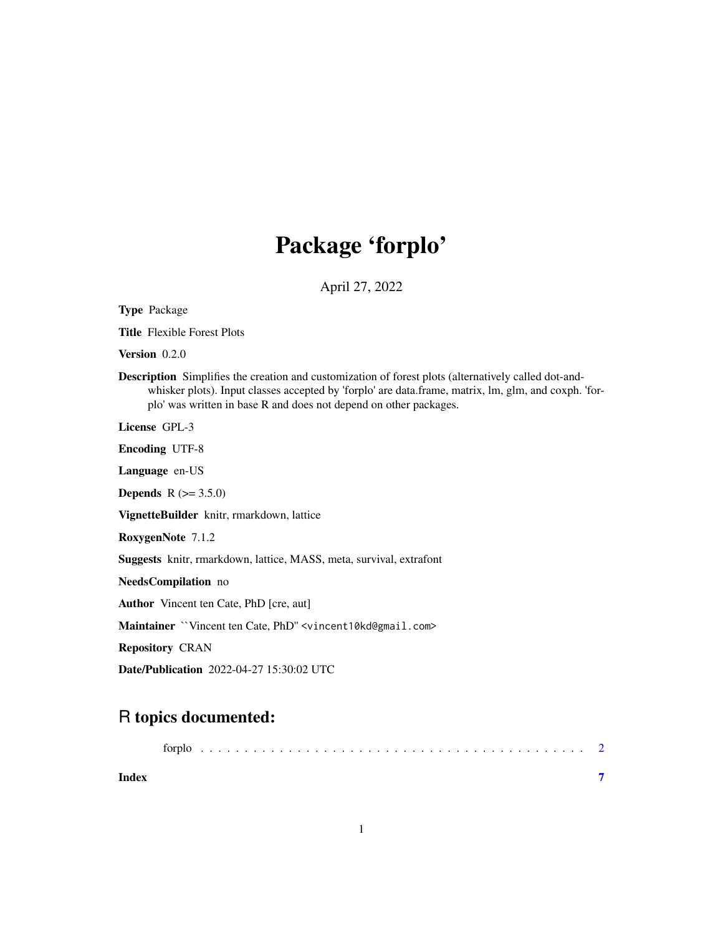## Package 'forplo'

April 27, 2022

| <b>Type Package</b>                                                                                                                                                                                                                                                                      |
|------------------------------------------------------------------------------------------------------------------------------------------------------------------------------------------------------------------------------------------------------------------------------------------|
| <b>Title</b> Flexible Forest Plots                                                                                                                                                                                                                                                       |
| Version $0.2.0$                                                                                                                                                                                                                                                                          |
| <b>Description</b> Simplifies the creation and customization of forest plots (alternatively called dot-and-<br>whisker plots). Input classes accepted by 'forplo' are data.frame, matrix, lm, glm, and coxph. 'for-<br>plo' was written in base R and does not depend on other packages. |
| License GPL-3                                                                                                                                                                                                                                                                            |
| <b>Encoding UTF-8</b>                                                                                                                                                                                                                                                                    |
| Language en-US                                                                                                                                                                                                                                                                           |
| <b>Depends</b> $R (= 3.5.0)$                                                                                                                                                                                                                                                             |
| VignetteBuilder knitr, rmarkdown, lattice                                                                                                                                                                                                                                                |
| RoxygenNote 7.1.2                                                                                                                                                                                                                                                                        |
| Suggests knitr, rmarkdown, lattice, MASS, meta, survival, extrafont                                                                                                                                                                                                                      |
| NeedsCompilation no                                                                                                                                                                                                                                                                      |
| <b>Author</b> Vincent ten Cate, PhD [cre, aut]                                                                                                                                                                                                                                           |
| Maintainer "Vincent ten Cate, PhD" <vincent10kd@gmail.com></vincent10kd@gmail.com>                                                                                                                                                                                                       |
| <b>Repository CRAN</b>                                                                                                                                                                                                                                                                   |
| <b>Date/Publication</b> 2022-04-27 15:30:02 UTC                                                                                                                                                                                                                                          |

### R topics documented:

| Index |  |  |  |  |  |  |  |  |  |  |  |  |  |  |  |  |  |  |
|-------|--|--|--|--|--|--|--|--|--|--|--|--|--|--|--|--|--|--|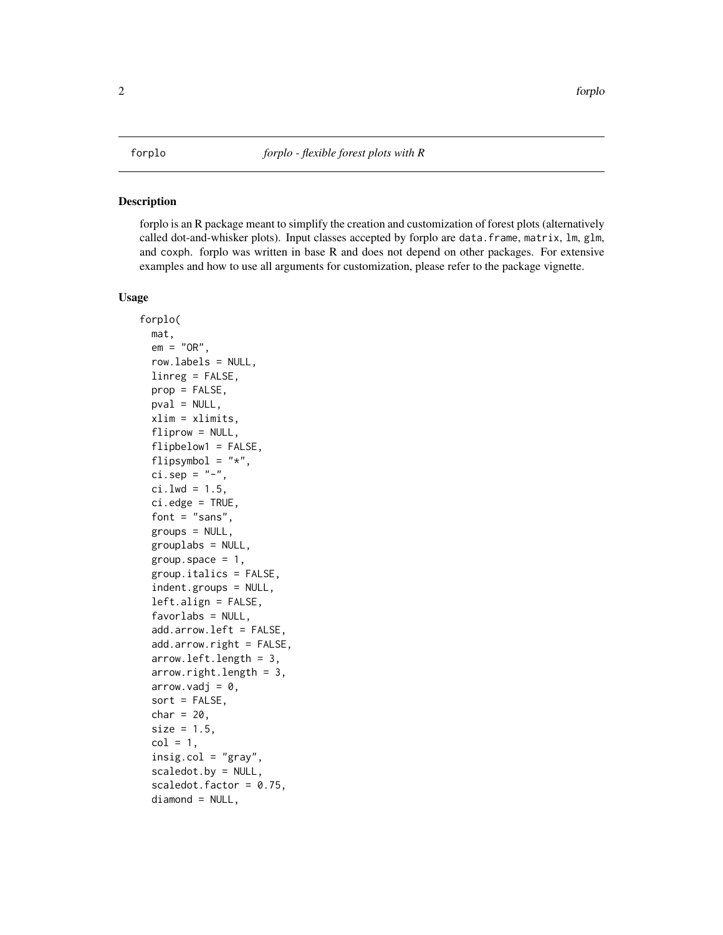#### <span id="page-1-0"></span>Description

forplo is an R package meant to simplify the creation and customization of forest plots (alternatively called dot-and-whisker plots). Input classes accepted by forplo are data.frame, matrix, lm, glm, and coxph. forplo was written in base R and does not depend on other packages. For extensive examples and how to use all arguments for customization, please refer to the package vignette.

#### Usage

```
forplo(
 mat,
  em = "OR".row.labels = NULL,
  linreg = FALSE,
 prop = FALSE,
 pval = NULL,
 xlim = xlimits,
  fliprow = NULL,flipbelow1 = FALSE,
  flipsymbol = "*",
  ci.\,\text{sep} = "-",
  ci.lwd = 1.5,
  ci.edge = TRUE,
  font = "sans",groups = NULL,
  grouplabs = NULL,
  group.space = 1,
  group.italics = FALSE,
  indent.groups = NULL,
  left.align = FALSE,
  favorlabs = NULL,
  add.arrow.left = FALSE,
  add.arrow.right = FALSE,
  arrow.left.length = 3,
  arrow.right.length = 3,
  arrow.vadj = 0,sort = FALSE,char = 20,size = 1.5,
  col = 1,
  insig.col = "gray",scaledot.by = NULL,
  scaledot.factor = 0.75,
  diamond = NULL,
```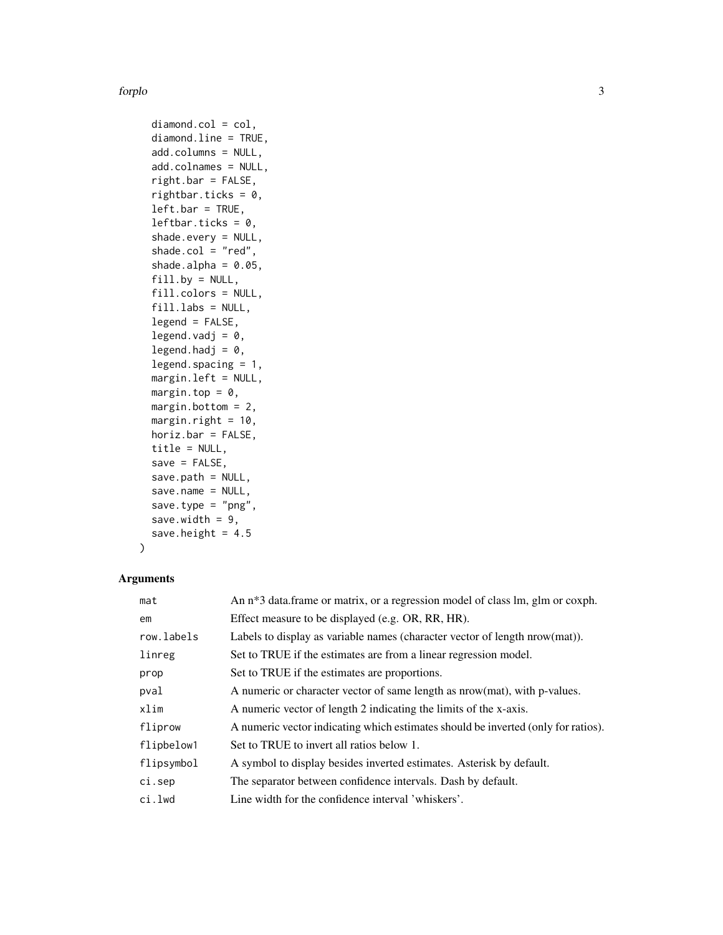#### forplo 3

diamond.col = col, diamond.line = TRUE, add.columns = NULL, add.colnames = NULL, right.bar = FALSE, rightbar.ticks =  $0$ ,  $leftbar = TRUE,$ leftbar.ticks =  $0$ , shade.every = NULL, shade.col =  $"red",$ shade.alpha =  $0.05$ ,  $fill.py = NULL,$ fill.colors = NULL, fill.labs = NULL, legend = FALSE, legend.vadj =  $0$ , legend.hadj =  $0$ , legend.spacing = 1, margin.left = NULL, margin.top =  $0$ , margin.bottom = 2, margin.right =  $10$ , horiz.bar = FALSE, title = NULL,  $save = FALSE,$ save.path = NULL, save.name = NULL, save.type =  $"png",$ save.width =  $9$ , save.height =  $4.5$ 

#### Arguments

 $\mathcal{L}$ 

| mat        | An n <sup>*3</sup> data.frame or matrix, or a regression model of class lm, glm or coxph. |
|------------|-------------------------------------------------------------------------------------------|
| em         | Effect measure to be displayed (e.g. OR, RR, HR).                                         |
| row.labels | Labels to display as variable names (character vector of length nrow(mat)).               |
| linreg     | Set to TRUE if the estimates are from a linear regression model.                          |
| prop       | Set to TRUE if the estimates are proportions.                                             |
| pval       | A numeric or character vector of same length as nrow(mat), with p-values.                 |
| xlim       | A numeric vector of length 2 indicating the limits of the x-axis.                         |
| fliprow    | A numeric vector indicating which estimates should be inverted (only for ratios).         |
| flipbelow1 | Set to TRUE to invert all ratios below 1.                                                 |
| flipsymbol | A symbol to display besides inverted estimates. A sterisk by default.                     |
| ci.sep     | The separator between confidence intervals. Dash by default.                              |
| ci.lwd     | Line width for the confidence interval 'whiskers'.                                        |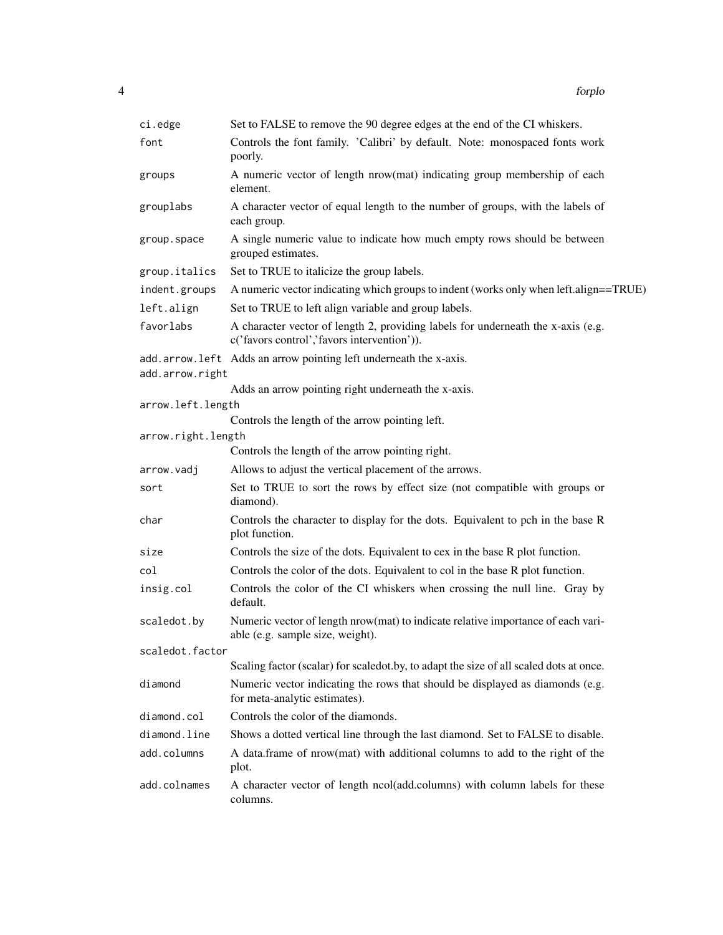| ci.edge            | Set to FALSE to remove the 90 degree edges at the end of the CI whiskers.                                                       |
|--------------------|---------------------------------------------------------------------------------------------------------------------------------|
| font               | Controls the font family. 'Calibri' by default. Note: monospaced fonts work<br>poorly.                                          |
| groups             | A numeric vector of length nrow(mat) indicating group membership of each<br>element.                                            |
| grouplabs          | A character vector of equal length to the number of groups, with the labels of<br>each group.                                   |
| group.space        | A single numeric value to indicate how much empty rows should be between<br>grouped estimates.                                  |
| group.italics      | Set to TRUE to italicize the group labels.                                                                                      |
| indent.groups      | A numeric vector indicating which groups to indent (works only when left.align==TRUE)                                           |
| left.align         | Set to TRUE to left align variable and group labels.                                                                            |
| favorlabs          | A character vector of length 2, providing labels for underneath the x-axis (e.g.<br>c('favors control','favors intervention')). |
|                    | add.arrow.left Adds an arrow pointing left underneath the x-axis.                                                               |
| add.arrow.right    |                                                                                                                                 |
|                    | Adds an arrow pointing right underneath the x-axis.                                                                             |
| arrow.left.length  |                                                                                                                                 |
| arrow.right.length | Controls the length of the arrow pointing left.                                                                                 |
|                    | Controls the length of the arrow pointing right.                                                                                |
| arrow.vadj         | Allows to adjust the vertical placement of the arrows.                                                                          |
| sort               | Set to TRUE to sort the rows by effect size (not compatible with groups or<br>diamond).                                         |
| char               | Controls the character to display for the dots. Equivalent to pch in the base R<br>plot function.                               |
| size               | Controls the size of the dots. Equivalent to cex in the base R plot function.                                                   |
| col                | Controls the color of the dots. Equivalent to col in the base R plot function.                                                  |
| insig.col          | Controls the color of the CI whiskers when crossing the null line. Gray by<br>default.                                          |
| scaledot.by        | Numeric vector of length nrow(mat) to indicate relative importance of each vari-<br>able (e.g. sample size, weight).            |
| scaledot.factor    |                                                                                                                                 |
|                    | Scaling factor (scalar) for scaled ot by, to adapt the size of all scaled dots at once.                                         |
| diamond            | Numeric vector indicating the rows that should be displayed as diamonds (e.g.<br>for meta-analytic estimates).                  |
| diamond.col        | Controls the color of the diamonds.                                                                                             |
| diamond.line       | Shows a dotted vertical line through the last diamond. Set to FALSE to disable.                                                 |
| add.columns        | A data.frame of nrow(mat) with additional columns to add to the right of the<br>plot.                                           |
| add.colnames       | A character vector of length ncol(add.columns) with column labels for these<br>columns.                                         |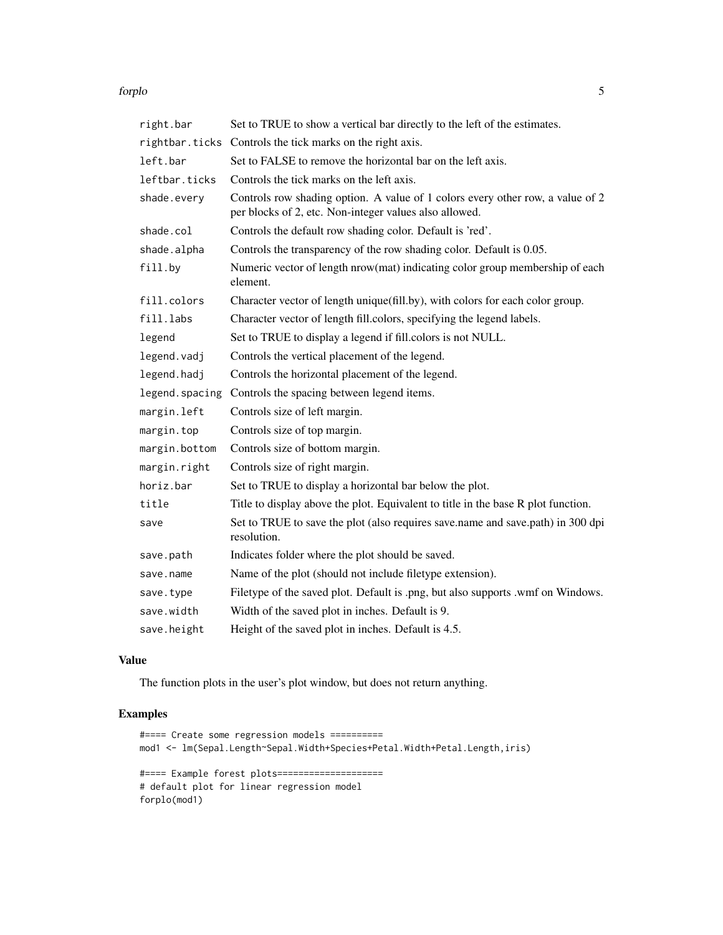#### forplo 5

| right.bar      | Set to TRUE to show a vertical bar directly to the left of the estimates.                                                                |
|----------------|------------------------------------------------------------------------------------------------------------------------------------------|
|                | rightbar.ticks Controls the tick marks on the right axis.                                                                                |
| left.bar       | Set to FALSE to remove the horizontal bar on the left axis.                                                                              |
| leftbar.ticks  | Controls the tick marks on the left axis.                                                                                                |
| shade.every    | Controls row shading option. A value of 1 colors every other row, a value of 2<br>per blocks of 2, etc. Non-integer values also allowed. |
| shade.col      | Controls the default row shading color. Default is 'red'.                                                                                |
| shade.alpha    | Controls the transparency of the row shading color. Default is 0.05.                                                                     |
| fill.by        | Numeric vector of length nrow(mat) indicating color group membership of each<br>element.                                                 |
| fill.colors    | Character vector of length unique(fill.by), with colors for each color group.                                                            |
| fill.labs      | Character vector of length fill.colors, specifying the legend labels.                                                                    |
| legend         | Set to TRUE to display a legend if fill.colors is not NULL.                                                                              |
| legend.vadj    | Controls the vertical placement of the legend.                                                                                           |
| legend.hadj    | Controls the horizontal placement of the legend.                                                                                         |
| legend.spacing | Controls the spacing between legend items.                                                                                               |
| margin.left    | Controls size of left margin.                                                                                                            |
| margin.top     | Controls size of top margin.                                                                                                             |
| margin.bottom  | Controls size of bottom margin.                                                                                                          |
| margin.right   | Controls size of right margin.                                                                                                           |
| horiz.bar      | Set to TRUE to display a horizontal bar below the plot.                                                                                  |
| title          | Title to display above the plot. Equivalent to title in the base R plot function.                                                        |
| save           | Set to TRUE to save the plot (also requires save name and save path) in 300 dpi<br>resolution.                                           |
| save.path      | Indicates folder where the plot should be saved.                                                                                         |
| save.name      | Name of the plot (should not include filetype extension).                                                                                |
| save.type      | Filetype of the saved plot. Default is .png, but also supports .wmf on Windows.                                                          |
| save.width     | Width of the saved plot in inches. Default is 9.                                                                                         |
| save.height    | Height of the saved plot in inches. Default is 4.5.                                                                                      |

### Value

The function plots in the user's plot window, but does not return anything.

#### Examples

```
#==== Create some regression models ==========
mod1 <- lm(Sepal.Length~Sepal.Width+Species+Petal.Width+Petal.Length,iris)
#==== Example forest plots====================
# default plot for linear regression model
forplo(mod1)
```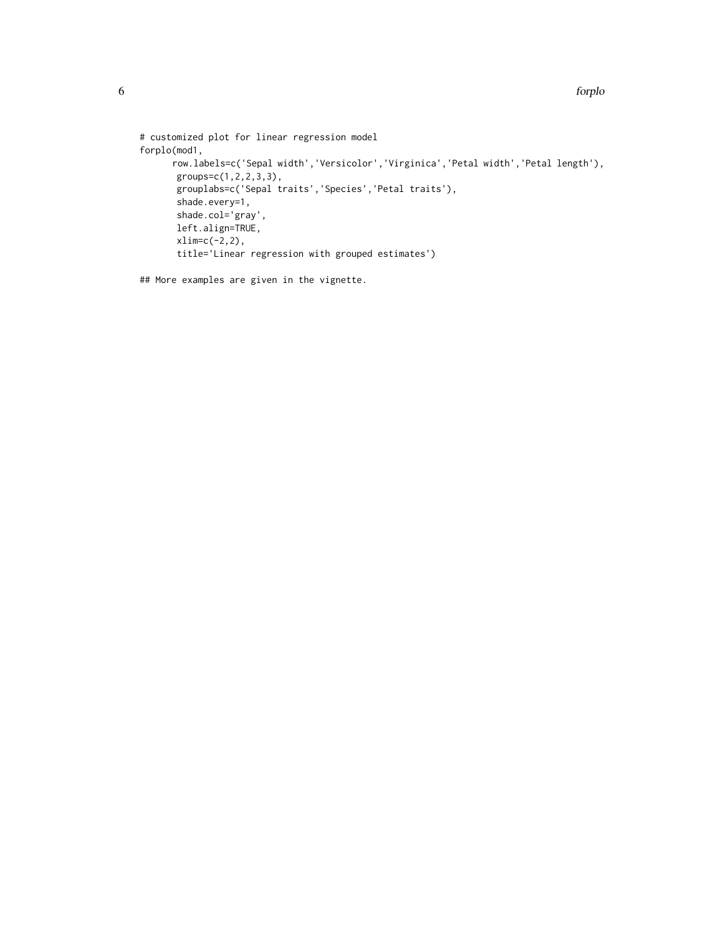```
# customized plot for linear regression model
forplo(mod1,
      row.labels=c('Sepal width','Versicolor','Virginica','Petal width','Petal length'),
      groups=c(1,2,2,3,3),
       grouplabs=c('Sepal traits','Species','Petal traits'),
       shade.every=1,
       shade.col='gray',
      left.align=TRUE,
      xlim=c(-2,2),
       title='Linear regression with grouped estimates')
```
## More examples are given in the vignette.